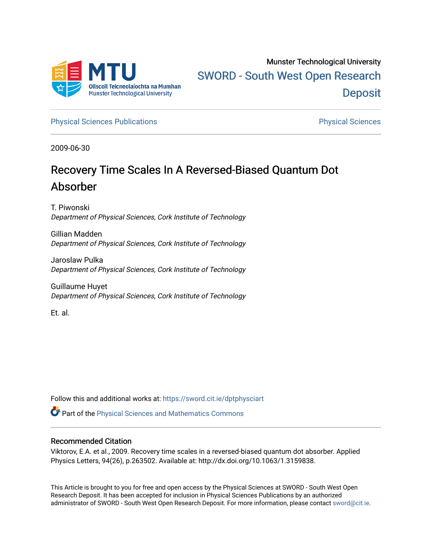

[Physical Sciences Publications](https://sword.cit.ie/dptphysciart) **Physical Sciences** Physical Sciences

2009-06-30

# Recovery Time Scales In A Reversed-Biased Quantum Dot Absorber

T. Piwonski Department of Physical Sciences, Cork Institute of Technology

Gillian Madden Department of Physical Sciences, Cork Institute of Technology

Jaroslaw Pulka Department of Physical Sciences, Cork Institute of Technology

Guillaume Huyet Department of Physical Sciences, Cork Institute of Technology

Et. al.

Follow this and additional works at: [https://sword.cit.ie/dptphysciart](https://sword.cit.ie/dptphysciart?utm_source=sword.cit.ie%2Fdptphysciart%2F28&utm_medium=PDF&utm_campaign=PDFCoverPages)

**C** Part of the Physical Sciences and Mathematics Commons

### Recommended Citation

Viktorov, E.A. et al., 2009. Recovery time scales in a reversed-biased quantum dot absorber. Applied Physics Letters, 94(26), p.263502. Available at: http://dx.doi.org/10.1063/1.3159838.

This Article is brought to you for free and open access by the Physical Sciences at SWORD - South West Open Research Deposit. It has been accepted for inclusion in Physical Sciences Publications by an authorized administrator of SWORD - South West Open Research Deposit. For more information, please contact [sword@cit.ie.](mailto:sword@cit.ie)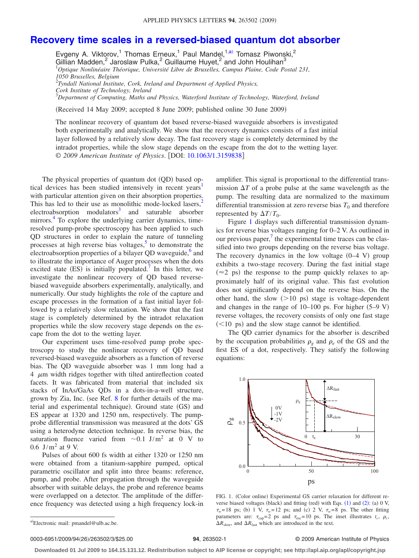## **[Recovery time scales in a reversed-biased quantum dot absorber](http://dx.doi.org/10.1063/1.3159838)**

Evgeny A. Viktorov,<sup>1</sup> Thomas Erneux,<sup>1</sup> Paul Mandel,<sup>1[,a](#page-1-0))</sup> Tomasz Piwonski,<sup>2</sup> Gillian Madden, $^2$  Jaroslaw Pulka, $^2$  Guillaume Huyet, $^2$  and John Houlihan $^3$ 1 *Optique Nonlinéaire Théorique, Université Libre de Bruxelles, Campus Plaine, Code Postal 231, 1050 Bruxelles, Belgium* 2 *Tyndall National Institute, Cork, Ireland and Department of Applied Physics, Cork Institute of Technology, Ireland*

3 *Department of Computing, Maths and Physics, Waterford Institute of Technology, Waterford, Ireland*

Received 14 May 2009; accepted 8 June 2009; published online 30 June 2009-

The nonlinear recovery of quantum dot based reverse-biased waveguide absorbers is investigated both experimentally and analytically. We show that the recovery dynamics consists of a fast initial layer followed by a relatively slow decay. The fast recovery stage is completely determined by the intradot properties, while the slow stage depends on the escape from the dot to the wetting layer. © *2009 American Institute of Physics*. DOI: [10.1063/1.3159838](http://dx.doi.org/10.1063/1.3159838)

The physical properties of quantum dot (QD) based optical devices has been studied intensively in recent years<sup>1</sup> with particular attention given on their absorption properties. This has led to their use as monolithic mode-locked lasers,<sup>2</sup>  $electroabsorption$  modulators<sup>3</sup> and saturable absorber mirrors.<sup>4</sup> To explore the underlying carrier dynamics, timeresolved pump-probe spectroscopy has been applied to such QD structures in order to explain the nature of tunneling processes at high reverse bias voltages, $5$  to demonstrate the electroabsorption properties of a bilayer QD waveguide, $6$  and to illustrate the importance of Auger processes when the dots excited state  $(ES)$  is initially populated.<sup>7</sup> In this letter, we investigate the nonlinear recovery of QD based reversebiased waveguide absorbers experimentally, analytically, and numerically. Our study highlights the role of the capture and escape processes in the formation of a fast initial layer followed by a relatively slow relaxation. We show that the fast stage is completely determined by the intradot relaxation properties while the slow recovery stage depends on the escape from the dot to the wetting layer.

Our experiment uses time-resolved pump probe spectroscopy to study the nonlinear recovery of QD based reversed-biased waveguide absorbers as a function of reverse bias. The QD waveguide absorber was 1 mm long had a  $4 \mu m$  width ridges together with tilted antireflection coated facets. It was fabricated from material that included six stacks of InAs/GaAs QDs in a dots-in-a-well structure, grown by Zia, Inc. (see Ref.  $8$  for further details of the material and experimental technique). Ground state (GS) and ES appear at 1320 and 1250 nm, respectively. The pumpprobe differential transmission was measured at the dots' GS using a heterodyne detection technique. In reverse bias, the saturation fluence varied from  $\sim 0.1$  J/m<sup>2</sup> at 0 V to 0.6 J/m<sup>2</sup> at 9 V.

Pulses of about 600 fs width at either 1320 or 1250 nm were obtained from a titanium-sapphire pumped, optical parametric oscillator and split into three beams: reference, pump, and probe. After propagation through the waveguide absorber with suitable delays, the probe and reference beams were overlapped on a detector. The amplitude of the difference frequency was detected using a high frequency lock-in

amplifier. This signal is proportional to the differential transmission  $\Delta T$  of a probe pulse at the same wavelength as the pump. The resulting data are normalized to the maximum differential transmission at zero reverse bias  $T_0$  and therefore represented by  $\Delta T/T_0$ .

Figure [1](#page-1-1) displays such differential transmission dynamics for reverse bias voltages ranging for 0–2 V. As outlined in our previous paper, $\frac{7}{1}$  the experimental time traces can be classified into two groups depending on the reverse bias voltage. The recovery dynamics in the low voltage  $(0-4 \text{ V})$  group exhibits a two-stage recovery. During the fast initial stage  $(\approx 2 \text{ ps})$  the response to the pump quickly relaxes to approximately half of its original value. This fast evolution does not significantly depend on the reverse bias. On the other hand, the slow  $(>10 \text{ ps})$  stage is voltage-dependent and changes in the range of  $10-100$  ps. For higher  $(5-9 \text{ V})$ reverse voltages, the recovery consists of only one fast stage  $(<$ 10 ps) and the slow stage cannot be identified.

The QD carrier dynamics for the absorber is described by the occupation probabilities  $\rho_{\varrho}$  and  $\rho_{\varrho}$  of the GS and the first ES of a dot, respectively. They satisfy the following equations:

<span id="page-1-1"></span>

FIG. 1. (Color online) Experimental GS carrier relaxation for different reverse biased voltages (black) and fitting (red) with Eqs.  $(1)$  $(1)$  $(1)$  and  $(2)$  $(2)$  $(2)$ :  $(a)$  0 V,  $\tau_w$ =18 ps; (b) 1 V,  $\tau_w$ =12 ps; and (c) 2 V,  $\tau_w$ =8 ps. The other fitting parameters are:  $\tau_{cap} = 2$  ps and  $\tau_{esc} = 10$  ps. The inset illustrates  $t_c$ ,  $\rho_c$ ,  $\Delta R_{\text{slow}}$ , and  $\Delta R_{\text{fast}}$  which are introduced in the text.

0003-6951/2009/94(26)/263502/3/\$25.00

#### **263502-1 263502-1 2009 American Institute of Physics**

**Downloaded 01 Jul 2009 to 164.15.131.12. Redistribution subject to AIP license or copyright; see http://apl.aip.org/apl/copyright.jsp**

<span id="page-1-0"></span>a)Electronic mail: pmandel@ulb.ac.be.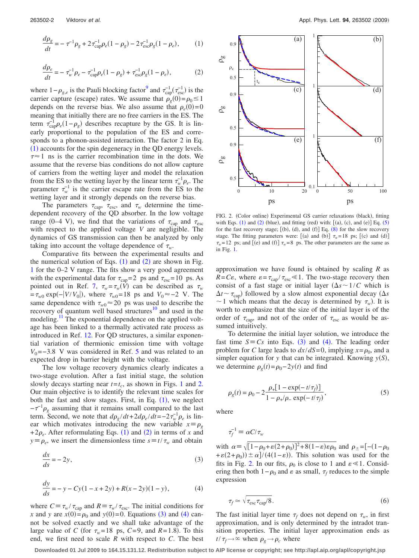<span id="page-2-1"></span><span id="page-2-0"></span>
$$
\frac{d\rho_g}{dt} = -\tau^{-1}\rho_g + 2\tau_{\rm cap}^{-1}\rho_e (1 - \rho_g) - 2\tau_{\rm esc}^{-1}\rho_g (1 - \rho_e),\tag{1}
$$

$$
\frac{d\rho_e}{dt} = -\tau_w^{-1} \rho_e - \tau_{\rm cap}^{-1} \rho_e (1 - \rho_g) + \tau_{\rm esc}^{-1} \rho_g (1 - \rho_e),\tag{2}
$$

where  $1-\rho_{g,e}$  is the Pauli blocking factor<sup>9</sup> and  $\tau_{cap}^{-1}(\tau_{esc}^{-1})$  is the carrier capture (escape) rates. We assume that  $\rho_g(0) = \rho_0 \le 1$ depends on the reverse bias. We also assume that  $\rho_e(0) = 0$ meaning that initially there are no free carriers in the ES. The term  $\tau_{\rm cap}^{-1} \rho_e (1 - \rho_g)$  describes recapture by the GS. It is linearly proportional to the population of the ES and corresponds to a phonon-assisted interaction. The factor 2 in Eq.  $(1)$  $(1)$  $(1)$  accounts for the spin degeneracy in the QD energy levels.  $\tau \approx 1$  ns is the carrier recombination time in the dots. We assume that the reverse bias conditions do not allow capture of carriers from the wetting layer and model the relaxation from the ES to the wetting layer by the linear term  $\tau_w^{-1} \rho_e$ . The parameter  $\tau_w^{-1}$  is the carrier escape rate from the ES to the wetting layer and it strongly depends on the reverse bias.

The parameters  $\tau_{\text{cap}}$ ,  $\tau_{\text{esc}}$ , and  $\tau_w$  determine the timedependent recovery of the QD absorber. In the low voltage range (0–4 V), we find that the variations of  $\tau_{cap}$  and  $\tau_{esc}$ with respect to the applied voltage *V* are negligible. The dynamics of GS transmission can then be analyzed by only taking into account the voltage dependence of  $\tau_w$ .

Comparative fits between the experimental results and the numerical solution of Eqs.  $(1)$  $(1)$  $(1)$  and  $(2)$  $(2)$  $(2)$  are shown in Fig. [1](#page-1-1) for the 0–2 V range. The fits show a very good agreement with the experimental data for  $\tau_{cap} = 2$  ps and  $\tau_{esc} = 10$  ps. As pointed out in Ref. [7,](#page-3-6)  $\tau_w = \tau_w(\vec{V})$  can be described as  $\tau_w$  $=\tau_{w0} \exp(-|V/V_0|)$ , where  $\tau_{w0}=18$  ps and  $V_0 \approx -2$  V. The same dependence with  $\tau_{w0} \approx 20$  ps was used to describe the recovery of quantum well based structures $10$  and used in the modeling.<sup>11</sup> The exponential dependence on the applied voltage has been linked to a thermally activated rate process as introduced in Ref. [12.](#page-3-11) For QD structures, a similar exponential variation of thermionic emission time with voltage  $V_0$ =−3.8 V was considered in Ref. [5](#page-3-4) and was related to an expected drop in barrier height with the voltage.

The low voltage recovery dynamics clearly indicates a two-stage evolution. After a fast initial stage, the solution slowly decays starting near  $t=t_c$ , as shown in Figs. [1](#page-1-1) and [2.](#page-2-2) Our main objective is to identify the relevant time scales for both the fast and slow stages. First, in Eq.  $(1)$  $(1)$  $(1)$ , we neglect  $-\tau^{-1}\rho_g$  assuming that it remains small compared to the last term. Second, we note that  $d\rho_g/dt + 2d\rho_e/dt = -2\tau_w^{-1}\rho_e$  is linear which motivates introducing the new variable  $x \equiv \rho_g$  $+2\rho_e$  $+2\rho_e$  $+2\rho_e$ . After reformulating Eqs. ([1](#page-2-0)) and (2) in terms of *x* and  $y \equiv \rho_e$ , we insert the dimensionless time  $s \equiv t / \tau_w$  and obtain

<span id="page-2-4"></span><span id="page-2-3"></span>
$$
\frac{dx}{ds} = -2y,\tag{3}
$$

$$
\frac{dy}{ds} = -y - Cy(1 - x + 2y) + R(x - 2y)(1 - y),\tag{4}
$$

where  $C \equiv \tau_w / \tau_{cap}$  and  $R \equiv \tau_w / \tau_{esc}$ . The initial conditions for *x* and *y* are  $x(0) = \rho_0$  and  $y(0) = 0$ . Equations ([3](#page-2-3)) and ([4](#page-2-4)) cannot be solved exactly and we shall take advantage of the large value of *C* (for  $\tau_w = 18$  ps, *C*=9, and *R*=1.8). To this end, we first need to scale *R* with respect to *C*. The best

<span id="page-2-2"></span>

FIG. 2. (Color online) Experimental GS carrier relaxations (black), fitting with Eqs.  $(1)$  $(1)$  $(1)$  and  $(2)$  $(2)$  $(2)$  (blue), and fitting (red) with: [(a), (c), and (e)] Eq. ([5](#page-2-5)) for the fast recovery stage;  $[(b), (d),$  and  $(f)]$  Eq.  $(8)$  $(8)$  $(8)$  for the slow recovery stage. The fitting parameters were: [(a) and (b)]  $\tau_w = 18$  ps; [(c) and (d)]  $\tau_w$ =12 ps; and [(e) and (f)]  $\tau_w$ =8 ps. The other parameters are the same as in Fig. [1.](#page-1-1)

approximation we have found is obtained by scaling *R* as  $R = C\varepsilon$ , where  $\varepsilon = \tau_{\text{cap}} / \tau_{\text{esc}} \ll 1$ . The two-stage recovery then consist of a fast stage or initial layer  $(\Delta s \sim 1/C$  which is  $\Delta t \sim \tau_{\text{cap}}$ ) followed by a slow almost exponential decay ( $\Delta s$  $\sim$  1 which means that the decay is determined by  $\tau_w$ ). It is worth to emphasize that the size of the initial layer is of the order of  $\tau_{\text{cap}}$ , and not of the order of  $\tau_{\text{esc}}$  as would be assumed intuitively.

<span id="page-2-5"></span>To determine the initial layer solution, we introduce the fast time  $S \equiv Cs$  into Eqs. ([3](#page-2-3)) and ([4](#page-2-4)). The leading order problem for *C* large leads to  $dx/dS=0$ , implying  $x = \rho_0$ , and a simpler equation for *y* that can be integrated. Knowing  $y(S)$ , we determine  $\rho_g(t) = \rho_0 - 2y(t)$  and find

$$
\rho_g(t) = \rho_0 - 2 \frac{\rho_+ [1 - \exp(-t/\tau_f)]}{1 - \rho_+ / \rho_- \exp(-t/\tau_f)},
$$
\n(5)

where

$$
\tau_f^{-1} \equiv \alpha C / \tau_w
$$

with  $\alpha = \sqrt{[1-\rho_0+\varepsilon(2+\rho_0)]^2+8(1-\varepsilon)\varepsilon\rho_0}$  and  $\rho_{\pm}=[-(1-\rho_0)]^2+8(1-\varepsilon)\varepsilon\rho_0$  $+\varepsilon(2+\rho_0)) \pm \alpha$  /(4(1- $\varepsilon$ )). This solution was used for the fits in Fig. [2.](#page-2-2) In our fits,  $\rho_0$  is close to 1 and  $\varepsilon \ll 1$ . Considering then both  $1-\rho_0$  and  $\varepsilon$  as small,  $\tau_f$  reduces to the simple expression

<span id="page-2-6"></span>
$$
\tau_f \simeq \sqrt{\tau_{\rm esc} \tau_{\rm cap}/8}.\tag{6}
$$

The fast initial layer time  $\tau_f$  does not depend on  $\tau_w$ , in first approximation, and is only determined by the intradot transition properties. The initial layer approximation ends as  $t/\tau_f \rightarrow \infty$  when  $\rho_g \rightarrow \rho_c$  where

**Downloaded 01 Jul 2009 to 164.15.131.12. Redistribution subject to AIP license or copyright; see http://apl.aip.org/apl/copyright.jsp**